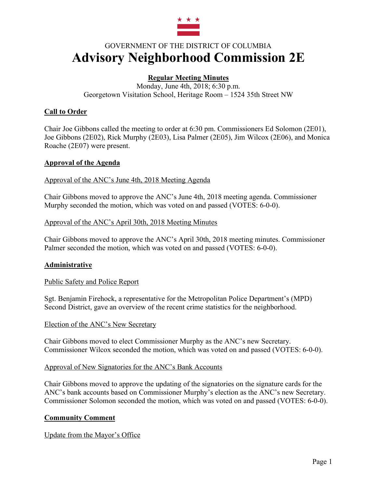

# GOVERNMENT OF THE DISTRICT OF COLUMBIA **Advisory Neighborhood Commission 2E**

## **Regular Meeting Minutes**

Monday, June 4th, 2018; 6:30 p.m. Georgetown Visitation School, Heritage Room – 1524 35th Street NW

## **Call to Order**

Chair Joe Gibbons called the meeting to order at 6:30 pm. Commissioners Ed Solomon (2E01), Joe Gibbons (2E02), Rick Murphy (2E03), Lisa Palmer (2E05), Jim Wilcox (2E06), and Monica Roache (2E07) were present.

#### **Approval of the Agenda**

#### Approval of the ANC's June 4th, 2018 Meeting Agenda

Chair Gibbons moved to approve the ANC's June 4th, 2018 meeting agenda. Commissioner Murphy seconded the motion, which was voted on and passed (VOTES: 6-0-0).

#### Approval of the ANC's April 30th, 2018 Meeting Minutes

Chair Gibbons moved to approve the ANC's April 30th, 2018 meeting minutes. Commissioner Palmer seconded the motion, which was voted on and passed (VOTES: 6-0-0).

#### **Administrative**

#### Public Safety and Police Report

Sgt. Benjamin Firehock, a representative for the Metropolitan Police Department's (MPD) Second District, gave an overview of the recent crime statistics for the neighborhood.

#### Election of the ANC's New Secretary

Chair Gibbons moved to elect Commissioner Murphy as the ANC's new Secretary. Commissioner Wilcox seconded the motion, which was voted on and passed (VOTES: 6-0-0).

#### Approval of New Signatories for the ANC's Bank Accounts

Chair Gibbons moved to approve the updating of the signatories on the signature cards for the ANC's bank accounts based on Commissioner Murphy's election as the ANC's new Secretary. Commissioner Solomon seconded the motion, which was voted on and passed (VOTES: 6-0-0).

#### **Community Comment**

Update from the Mayor's Office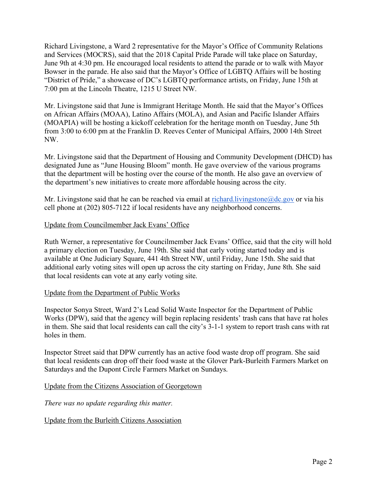Richard Livingstone, a Ward 2 representative for the Mayor's Office of Community Relations and Services (MOCRS), said that the 2018 Capital Pride Parade will take place on Saturday, June 9th at 4:30 pm. He encouraged local residents to attend the parade or to walk with Mayor Bowser in the parade. He also said that the Mayor's Office of LGBTQ Affairs will be hosting "District of Pride," a showcase of DC's LGBTQ performance artists, on Friday, June 15th at 7:00 pm at the Lincoln Theatre, 1215 U Street NW.

Mr. Livingstone said that June is Immigrant Heritage Month. He said that the Mayor's Offices on African Affairs (MOAA), Latino Affairs (MOLA), and Asian and Pacific Islander Affairs (MOAPIA) will be hosting a kickoff celebration for the heritage month on Tuesday, June 5th from 3:00 to 6:00 pm at the Franklin D. Reeves Center of Municipal Affairs, 2000 14th Street NW.

Mr. Livingstone said that the Department of Housing and Community Development (DHCD) has designated June as "June Housing Bloom" month. He gave overview of the various programs that the department will be hosting over the course of the month. He also gave an overview of the department's new initiatives to create more affordable housing across the city.

Mr. Livingstone said that he can be reached via email at  $\frac{\text{richard.} \text{livings}(\omega) \cdot \text{cov}}{\text{dev}}$  or via his cell phone at (202) 805-7122 if local residents have any neighborhood concerns.

#### Update from Councilmember Jack Evans' Office

Ruth Werner, a representative for Councilmember Jack Evans' Office, said that the city will hold a primary election on Tuesday, June 19th. She said that early voting started today and is available at One Judiciary Square, 441 4th Street NW, until Friday, June 15th. She said that additional early voting sites will open up across the city starting on Friday, June 8th. She said that local residents can vote at any early voting site.

#### Update from the Department of Public Works

Inspector Sonya Street, Ward 2's Lead Solid Waste Inspector for the Department of Public Works (DPW), said that the agency will begin replacing residents' trash cans that have rat holes in them. She said that local residents can call the city's 3-1-1 system to report trash cans with rat holes in them.

Inspector Street said that DPW currently has an active food waste drop off program. She said that local residents can drop off their food waste at the Glover Park-Burleith Farmers Market on Saturdays and the Dupont Circle Farmers Market on Sundays.

Update from the Citizens Association of Georgetown

*There was no update regarding this matter.*

Update from the Burleith Citizens Association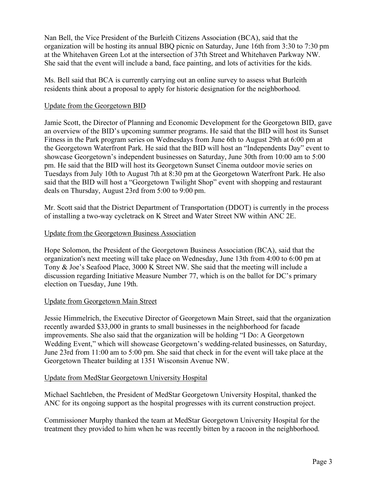Nan Bell, the Vice President of the Burleith Citizens Association (BCA), said that the organization will be hosting its annual BBQ picnic on Saturday, June 16th from 3:30 to 7:30 pm at the Whitehaven Green Lot at the intersection of 37th Street and Whitehaven Parkway NW. She said that the event will include a band, face painting, and lots of activities for the kids.

Ms. Bell said that BCA is currently carrying out an online survey to assess what Burleith residents think about a proposal to apply for historic designation for the neighborhood.

#### Update from the Georgetown BID

Jamie Scott, the Director of Planning and Economic Development for the Georgetown BID, gave an overview of the BID's upcoming summer programs. He said that the BID will host its Sunset Fitness in the Park program series on Wednesdays from June 6th to August 29th at 6:00 pm at the Georgetown Waterfront Park. He said that the BID will host an "Independents Day" event to showcase Georgetown's independent businesses on Saturday, June 30th from 10:00 am to 5:00 pm. He said that the BID will host its Georgetown Sunset Cinema outdoor movie series on Tuesdays from July 10th to August 7th at 8:30 pm at the Georgetown Waterfront Park. He also said that the BID will host a "Georgetown Twilight Shop" event with shopping and restaurant deals on Thursday, August 23rd from 5:00 to 9:00 pm.

Mr. Scott said that the District Department of Transportation (DDOT) is currently in the process of installing a two-way cycletrack on K Street and Water Street NW within ANC 2E.

#### Update from the Georgetown Business Association

Hope Solomon, the President of the Georgetown Business Association (BCA), said that the organization's next meeting will take place on Wednesday, June 13th from 4:00 to 6:00 pm at Tony & Joe's Seafood Place, 3000 K Street NW. She said that the meeting will include a discussion regarding Initiative Measure Number 77, which is on the ballot for DC's primary election on Tuesday, June 19th.

#### Update from Georgetown Main Street

Jessie Himmelrich, the Executive Director of Georgetown Main Street, said that the organization recently awarded \$33,000 in grants to small businesses in the neighborhood for facade improvements. She also said that the organization will be holding "I Do: A Georgetown Wedding Event," which will showcase Georgetown's wedding-related businesses, on Saturday, June 23rd from 11:00 am to 5:00 pm. She said that check in for the event will take place at the Georgetown Theater building at 1351 Wisconsin Avenue NW.

#### Update from MedStar Georgetown University Hospital

Michael Sachtleben, the President of MedStar Georgetown University Hospital, thanked the ANC for its ongoing support as the hospital progresses with its current construction project.

Commissioner Murphy thanked the team at MedStar Georgetown University Hospital for the treatment they provided to him when he was recently bitten by a racoon in the neighborhood.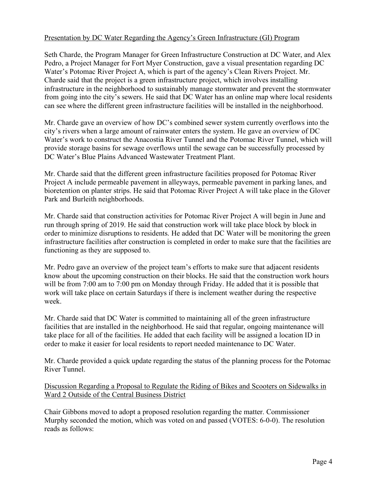#### Presentation by DC Water Regarding the Agency's Green Infrastructure (GI) Program

Seth Charde, the Program Manager for Green Infrastructure Construction at DC Water, and Alex Pedro, a Project Manager for Fort Myer Construction, gave a visual presentation regarding DC Water's Potomac River Project A, which is part of the agency's Clean Rivers Project. Mr. Charde said that the project is a green infrastructure project, which involves installing infrastructure in the neighborhood to sustainably manage stormwater and prevent the stormwater from going into the city's sewers. He said that DC Water has an online map where local residents can see where the different green infrastructure facilities will be installed in the neighborhood.

Mr. Charde gave an overview of how DC's combined sewer system currently overflows into the city's rivers when a large amount of rainwater enters the system. He gave an overview of DC Water's work to construct the Anacostia River Tunnel and the Potomac River Tunnel, which will provide storage basins for sewage overflows until the sewage can be successfully processed by DC Water's Blue Plains Advanced Wastewater Treatment Plant.

Mr. Charde said that the different green infrastructure facilities proposed for Potomac River Project A include permeable pavement in alleyways, permeable pavement in parking lanes, and bioretention on planter strips. He said that Potomac River Project A will take place in the Glover Park and Burleith neighborhoods.

Mr. Charde said that construction activities for Potomac River Project A will begin in June and run through spring of 2019. He said that construction work will take place block by block in order to minimize disruptions to residents. He added that DC Water will be monitoring the green infrastructure facilities after construction is completed in order to make sure that the facilities are functioning as they are supposed to.

Mr. Pedro gave an overview of the project team's efforts to make sure that adjacent residents know about the upcoming construction on their blocks. He said that the construction work hours will be from 7:00 am to 7:00 pm on Monday through Friday. He added that it is possible that work will take place on certain Saturdays if there is inclement weather during the respective week.

Mr. Charde said that DC Water is committed to maintaining all of the green infrastructure facilities that are installed in the neighborhood. He said that regular, ongoing maintenance will take place for all of the facilities. He added that each facility will be assigned a location ID in order to make it easier for local residents to report needed maintenance to DC Water.

Mr. Charde provided a quick update regarding the status of the planning process for the Potomac River Tunnel.

Discussion Regarding a Proposal to Regulate the Riding of Bikes and Scooters on Sidewalks in Ward 2 Outside of the Central Business District

Chair Gibbons moved to adopt a proposed resolution regarding the matter. Commissioner Murphy seconded the motion, which was voted on and passed (VOTES: 6-0-0). The resolution reads as follows: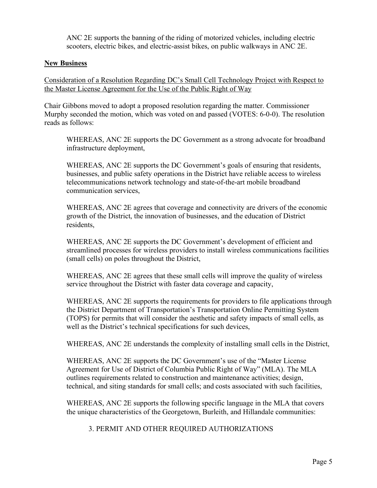ANC 2E supports the banning of the riding of motorized vehicles, including electric scooters, electric bikes, and electric-assist bikes, on public walkways in ANC 2E.

#### **New Business**

Consideration of a Resolution Regarding DC's Small Cell Technology Project with Respect to the Master License Agreement for the Use of the Public Right of Way

Chair Gibbons moved to adopt a proposed resolution regarding the matter. Commissioner Murphy seconded the motion, which was voted on and passed (VOTES: 6-0-0). The resolution reads as follows:

WHEREAS, ANC 2E supports the DC Government as a strong advocate for broadband infrastructure deployment,

WHEREAS, ANC 2E supports the DC Government's goals of ensuring that residents, businesses, and public safety operations in the District have reliable access to wireless telecommunications network technology and state-of-the-art mobile broadband communication services,

WHEREAS, ANC 2E agrees that coverage and connectivity are drivers of the economic growth of the District, the innovation of businesses, and the education of District residents,

WHEREAS, ANC 2E supports the DC Government's development of efficient and streamlined processes for wireless providers to install wireless communications facilities (small cells) on poles throughout the District,

WHEREAS, ANC 2E agrees that these small cells will improve the quality of wireless service throughout the District with faster data coverage and capacity,

WHEREAS, ANC 2E supports the requirements for providers to file applications through the District Department of Transportation's Transportation Online Permitting System (TOPS) for permits that will consider the aesthetic and safety impacts of small cells, as well as the District's technical specifications for such devices,

WHEREAS, ANC 2E understands the complexity of installing small cells in the District,

WHEREAS, ANC 2E supports the DC Government's use of the "Master License Agreement for Use of District of Columbia Public Right of Way" (MLA). The MLA outlines requirements related to construction and maintenance activities; design, technical, and siting standards for small cells; and costs associated with such facilities,

WHEREAS, ANC 2E supports the following specific language in the MLA that covers the unique characteristics of the Georgetown, Burleith, and Hillandale communities:

3. PERMIT AND OTHER REQUIRED AUTHORIZATIONS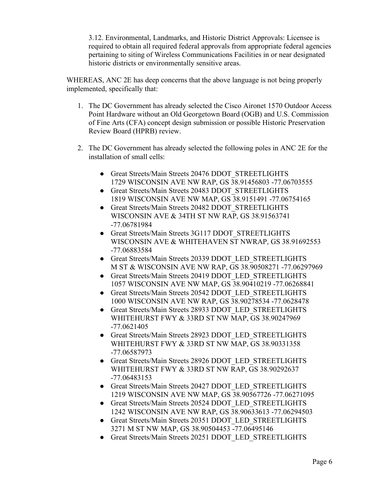3.12. Environmental, Landmarks, and Historic District Approvals: Licensee is required to obtain all required federal approvals from appropriate federal agencies pertaining to siting of Wireless Communications Facilities in or near designated historic districts or environmentally sensitive areas.

WHEREAS, ANC 2E has deep concerns that the above language is not being properly implemented, specifically that:

- 1. The DC Government has already selected the Cisco Aironet 1570 Outdoor Access Point Hardware without an Old Georgetown Board (OGB) and U.S. Commission of Fine Arts (CFA) concept design submission or possible Historic Preservation Review Board (HPRB) review.
- 2. The DC Government has already selected the following poles in ANC 2E for the installation of small cells:
	- Great Streets/Main Streets 20476 DDOT\_STREETLIGHTS 1729 WISCONSIN AVE NW RAP, GS 38.91456803 -77.06703555
	- Great Streets/Main Streets 20483 DDOT\_STREETLIGHTS 1819 WISCONSIN AVE NW MAP, GS 38.9151491 -77.06754165
	- Great Streets/Main Streets 20482 DDOT\_STREETLIGHTS WISCONSIN AVE & 34TH ST NW RAP, GS 38.91563741 -77.06781984
	- Great Streets/Main Streets 3G117 DDOT\_STREETLIGHTS WISCONSIN AVE & WHITEHAVEN ST NWRAP, GS 38.91692553 -77.06883584
	- Great Streets/Main Streets 20339 DDOT\_LED\_STREETLIGHTS M ST & WISCONSIN AVE NW RAP, GS 38.90508271 -77.06297969
	- Great Streets/Main Streets 20419 DDOT\_LED\_STREETLIGHTS 1057 WISCONSIN AVE NW MAP, GS 38.90410219 -77.06268841
	- Great Streets/Main Streets 20542 DDOT\_LED\_STREETLIGHTS 1000 WISCONSIN AVE NW RAP, GS 38.90278534 -77.0628478
	- Great Streets/Main Streets 28933 DDOT\_LED\_STREETLIGHTS WHITEHURST FWY & 33RD ST NW MAP, GS 38.90247969 -77.0621405
	- Great Streets/Main Streets 28923 DDOT\_LED\_STREETLIGHTS WHITEHURST FWY & 33RD ST NW MAP, GS 38.90331358 -77.06587973
	- Great Streets/Main Streets 28926 DDOT\_LED\_STREETLIGHTS WHITEHURST FWY & 33RD ST NW RAP, GS 38.90292637 -77.06483153
	- Great Streets/Main Streets 20427 DDOT\_LED\_STREETLIGHTS 1219 WISCONSIN AVE NW MAP, GS 38.90567726 -77.06271095
	- Great Streets/Main Streets 20524 DDOT\_LED\_STREETLIGHTS 1242 WISCONSIN AVE NW RAP, GS 38.90633613 -77.06294503
	- Great Streets/Main Streets 20351 DDOT\_LED\_STREETLIGHTS 3271 M ST NW MAP, GS 38.90504453 -77.06495146
	- Great Streets/Main Streets 20251 DDOT\_LED\_STREETLIGHTS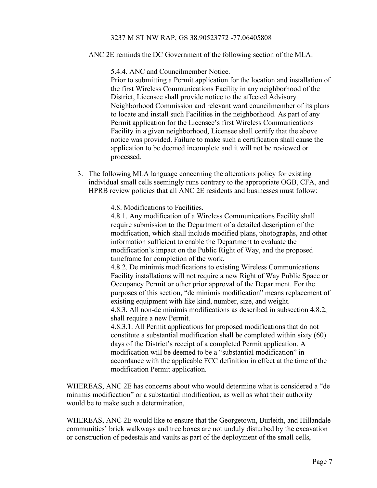#### ANC 2E reminds the DC Government of the following section of the MLA:

5.4.4. ANC and Councilmember Notice.

Prior to submitting a Permit application for the location and installation of the first Wireless Communications Facility in any neighborhood of the District, Licensee shall provide notice to the affected Advisory Neighborhood Commission and relevant ward councilmember of its plans to locate and install such Facilities in the neighborhood. As part of any Permit application for the Licensee's first Wireless Communications Facility in a given neighborhood, Licensee shall certify that the above notice was provided. Failure to make such a certification shall cause the application to be deemed incomplete and it will not be reviewed or processed.

3. The following MLA language concerning the alterations policy for existing individual small cells seemingly runs contrary to the appropriate OGB, CFA, and HPRB review policies that all ANC 2E residents and businesses must follow:

4.8. Modifications to Facilities.

4.8.1. Any modification of a Wireless Communications Facility shall require submission to the Department of a detailed description of the modification, which shall include modified plans, photographs, and other information sufficient to enable the Department to evaluate the modification's impact on the Public Right of Way, and the proposed timeframe for completion of the work.

4.8.2. De minimis modifications to existing Wireless Communications Facility installations will not require a new Right of Way Public Space or Occupancy Permit or other prior approval of the Department. For the purposes of this section, "de minimis modification" means replacement of existing equipment with like kind, number, size, and weight.

4.8.3. All non-de minimis modifications as described in subsection 4.8.2, shall require a new Permit.

4.8.3.1. All Permit applications for proposed modifications that do not constitute a substantial modification shall be completed within sixty (60) days of the District's receipt of a completed Permit application. A modification will be deemed to be a "substantial modification" in accordance with the applicable FCC definition in effect at the time of the modification Permit application.

WHEREAS, ANC 2E has concerns about who would determine what is considered a "de minimis modification" or a substantial modification, as well as what their authority would be to make such a determination,

WHEREAS, ANC 2E would like to ensure that the Georgetown, Burleith, and Hillandale communities' brick walkways and tree boxes are not unduly disturbed by the excavation or construction of pedestals and vaults as part of the deployment of the small cells,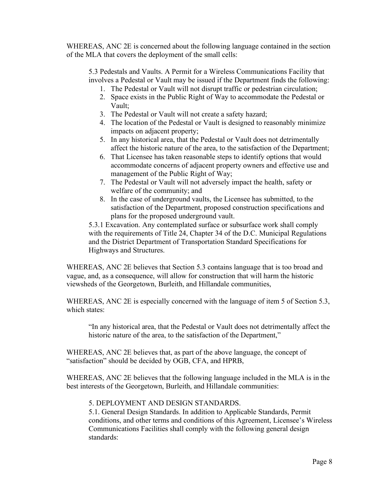WHEREAS, ANC 2E is concerned about the following language contained in the section of the MLA that covers the deployment of the small cells:

5.3 Pedestals and Vaults. A Permit for a Wireless Communications Facility that involves a Pedestal or Vault may be issued if the Department finds the following:

- 1. The Pedestal or Vault will not disrupt traffic or pedestrian circulation;
- 2. Space exists in the Public Right of Way to accommodate the Pedestal or Vault;
- 3. The Pedestal or Vault will not create a safety hazard;
- 4. The location of the Pedestal or Vault is designed to reasonably minimize impacts on adjacent property;
- 5. In any historical area, that the Pedestal or Vault does not detrimentally affect the historic nature of the area, to the satisfaction of the Department;
- 6. That Licensee has taken reasonable steps to identify options that would accommodate concerns of adjacent property owners and effective use and management of the Public Right of Way;
- 7. The Pedestal or Vault will not adversely impact the health, safety or welfare of the community; and
- 8. In the case of underground vaults, the Licensee has submitted, to the satisfaction of the Department, proposed construction specifications and plans for the proposed underground vault.

5.3.1 Excavation. Any contemplated surface or subsurface work shall comply with the requirements of Title 24, Chapter 34 of the D.C. Municipal Regulations and the District Department of Transportation Standard Specifications for Highways and Structures.

WHEREAS, ANC 2E believes that Section 5.3 contains language that is too broad and vague, and, as a consequence, will allow for construction that will harm the historic viewsheds of the Georgetown, Burleith, and Hillandale communities,

WHEREAS, ANC 2E is especially concerned with the language of item 5 of Section 5.3, which states:

"In any historical area, that the Pedestal or Vault does not detrimentally affect the historic nature of the area, to the satisfaction of the Department,"

WHEREAS, ANC 2E believes that, as part of the above language, the concept of "satisfaction" should be decided by OGB, CFA, and HPRB,

WHEREAS, ANC 2E believes that the following language included in the MLA is in the best interests of the Georgetown, Burleith, and Hillandale communities:

# 5. DEPLOYMENT AND DESIGN STANDARDS.

5.1. General Design Standards. In addition to Applicable Standards, Permit conditions, and other terms and conditions of this Agreement, Licensee's Wireless Communications Facilities shall comply with the following general design standards: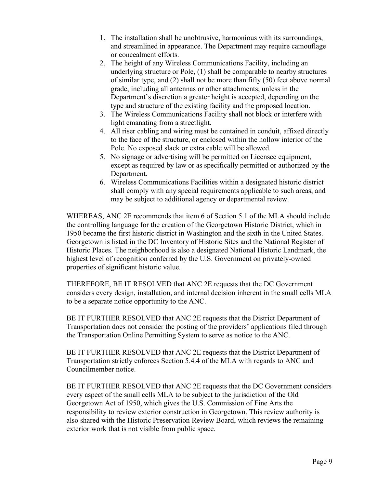- 1. The installation shall be unobtrusive, harmonious with its surroundings, and streamlined in appearance. The Department may require camouflage or concealment efforts.
- 2. The height of any Wireless Communications Facility, including an underlying structure or Pole, (1) shall be comparable to nearby structures of similar type, and (2) shall not be more than fifty (50) feet above normal grade, including all antennas or other attachments; unless in the Department's discretion a greater height is accepted, depending on the type and structure of the existing facility and the proposed location.
- 3. The Wireless Communications Facility shall not block or interfere with light emanating from a streetlight.
- 4. All riser cabling and wiring must be contained in conduit, affixed directly to the face of the structure, or enclosed within the hollow interior of the Pole. No exposed slack or extra cable will be allowed.
- 5. No signage or advertising will be permitted on Licensee equipment, except as required by law or as specifically permitted or authorized by the Department.
- 6. Wireless Communications Facilities within a designated historic district shall comply with any special requirements applicable to such areas, and may be subject to additional agency or departmental review.

WHEREAS, ANC 2E recommends that item 6 of Section 5.1 of the MLA should include the controlling language for the creation of the Georgetown Historic District, which in 1950 became the first historic district in Washington and the sixth in the United States. Georgetown is listed in the DC Inventory of Historic Sites and the National Register of Historic Places. The neighborhood is also a designated National Historic Landmark, the highest level of recognition conferred by the U.S. Government on privately-owned properties of significant historic value.

THEREFORE, BE IT RESOLVED that ANC 2E requests that the DC Government considers every design, installation, and internal decision inherent in the small cells MLA to be a separate notice opportunity to the ANC.

BE IT FURTHER RESOLVED that ANC 2E requests that the District Department of Transportation does not consider the posting of the providers' applications filed through the Transportation Online Permitting System to serve as notice to the ANC.

BE IT FURTHER RESOLVED that ANC 2E requests that the District Department of Transportation strictly enforces Section 5.4.4 of the MLA with regards to ANC and Councilmember notice.

BE IT FURTHER RESOLVED that ANC 2E requests that the DC Government considers every aspect of the small cells MLA to be subject to the jurisdiction of the Old Georgetown Act of 1950, which gives the U.S. Commission of Fine Arts the responsibility to review exterior construction in Georgetown. This review authority is also shared with the Historic Preservation Review Board, which reviews the remaining exterior work that is not visible from public space.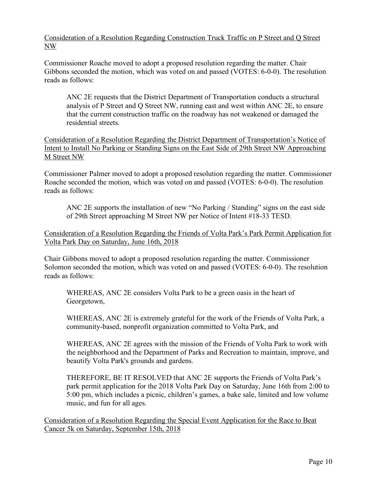## Consideration of a Resolution Regarding Construction Truck Traffic on P Street and Q Street NW

Commissioner Roache moved to adopt a proposed resolution regarding the matter. Chair Gibbons seconded the motion, which was voted on and passed (VOTES: 6-0-0). The resolution reads as follows:

ANC 2E requests that the District Department of Transportation conducts a structural analysis of P Street and Q Street NW, running east and west within ANC 2E, to ensure that the current construction traffic on the roadway has not weakened or damaged the residential streets.

Consideration of a Resolution Regarding the District Department of Transportation's Notice of Intent to Install No Parking or Standing Signs on the East Side of 29th Street NW Approaching M Street NW

Commissioner Palmer moved to adopt a proposed resolution regarding the matter. Commissioner Roache seconded the motion, which was voted on and passed (VOTES: 6-0-0). The resolution reads as follows:

ANC 2E supports the installation of new "No Parking / Standing" signs on the east side of 29th Street approaching M Street NW per Notice of Intent #18-33 TESD.

Consideration of a Resolution Regarding the Friends of Volta Park's Park Permit Application for Volta Park Day on Saturday, June 16th, 2018

Chair Gibbons moved to adopt a proposed resolution regarding the matter. Commissioner Solomon seconded the motion, which was voted on and passed (VOTES: 6-0-0). The resolution reads as follows:

WHEREAS, ANC 2E considers Volta Park to be a green oasis in the heart of Georgetown,

WHEREAS, ANC 2E is extremely grateful for the work of the Friends of Volta Park, a community-based, nonprofit organization committed to Volta Park, and

WHEREAS, ANC 2E agrees with the mission of the Friends of Volta Park to work with the neighborhood and the Department of Parks and Recreation to maintain, improve, and beautify Volta Park's grounds and gardens.

THEREFORE, BE IT RESOLVED that ANC 2E supports the Friends of Volta Park's park permit application for the 2018 Volta Park Day on Saturday, June 16th from 2:00 to 5:00 pm, which includes a picnic, children's games, a bake sale, limited and low volume music, and fun for all ages.

Consideration of a Resolution Regarding the Special Event Application for the Race to Beat Cancer 5k on Saturday, September 15th, 2018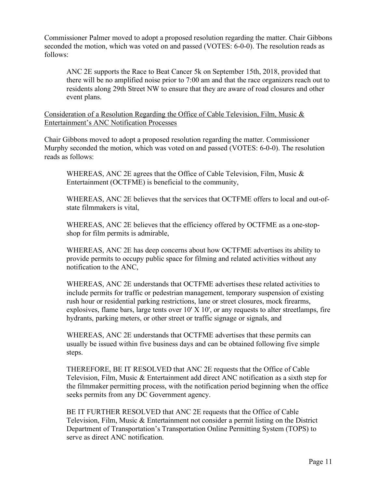Commissioner Palmer moved to adopt a proposed resolution regarding the matter. Chair Gibbons seconded the motion, which was voted on and passed (VOTES: 6-0-0). The resolution reads as follows:

ANC 2E supports the Race to Beat Cancer 5k on September 15th, 2018, provided that there will be no amplified noise prior to 7:00 am and that the race organizers reach out to residents along 29th Street NW to ensure that they are aware of road closures and other event plans.

Consideration of a Resolution Regarding the Office of Cable Television, Film, Music & Entertainment's ANC Notification Processes

Chair Gibbons moved to adopt a proposed resolution regarding the matter. Commissioner Murphy seconded the motion, which was voted on and passed (VOTES: 6-0-0). The resolution reads as follows:

WHEREAS, ANC 2E agrees that the Office of Cable Television, Film, Music & Entertainment (OCTFME) is beneficial to the community,

WHEREAS, ANC 2E believes that the services that OCTFME offers to local and out-ofstate filmmakers is vital,

WHEREAS, ANC 2E believes that the efficiency offered by OCTFME as a one-stopshop for film permits is admirable,

WHEREAS, ANC 2E has deep concerns about how OCTFME advertises its ability to provide permits to occupy public space for filming and related activities without any notification to the ANC,

WHEREAS, ANC 2E understands that OCTFME advertises these related activities to include permits for traffic or pedestrian management, temporary suspension of existing rush hour or residential parking restrictions, lane or street closures, mock firearms, explosives, flame bars, large tents over  $10'$  X  $10'$ , or any requests to alter streetlamps, fire hydrants, parking meters, or other street or traffic signage or signals, and

WHEREAS, ANC 2E understands that OCTFME advertises that these permits can usually be issued within five business days and can be obtained following five simple steps.

THEREFORE, BE IT RESOLVED that ANC 2E requests that the Office of Cable Television, Film, Music & Entertainment add direct ANC notification as a sixth step for the filmmaker permitting process, with the notification period beginning when the office seeks permits from any DC Government agency.

BE IT FURTHER RESOLVED that ANC 2E requests that the Office of Cable Television, Film, Music & Entertainment not consider a permit listing on the District Department of Transportation's Transportation Online Permitting System (TOPS) to serve as direct ANC notification.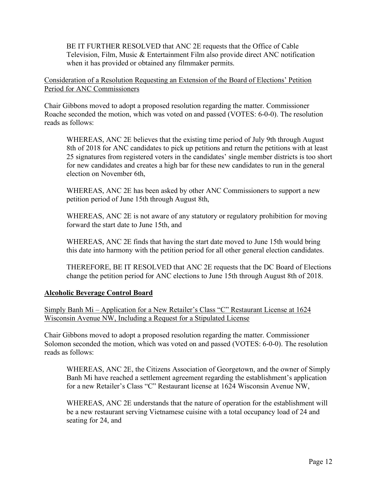BE IT FURTHER RESOLVED that ANC 2E requests that the Office of Cable Television, Film, Music & Entertainment Film also provide direct ANC notification when it has provided or obtained any filmmaker permits.

Consideration of a Resolution Requesting an Extension of the Board of Elections' Petition Period for ANC Commissioners

Chair Gibbons moved to adopt a proposed resolution regarding the matter. Commissioner Roache seconded the motion, which was voted on and passed (VOTES: 6-0-0). The resolution reads as follows:

WHEREAS, ANC 2E believes that the existing time period of July 9th through August 8th of 2018 for ANC candidates to pick up petitions and return the petitions with at least 25 signatures from registered voters in the candidates' single member districts is too short for new candidates and creates a high bar for these new candidates to run in the general election on November 6th,

WHEREAS, ANC 2E has been asked by other ANC Commissioners to support a new petition period of June 15th through August 8th,

WHEREAS, ANC 2E is not aware of any statutory or regulatory prohibition for moving forward the start date to June 15th, and

WHEREAS, ANC 2E finds that having the start date moved to June 15th would bring this date into harmony with the petition period for all other general election candidates.

THEREFORE, BE IT RESOLVED that ANC 2E requests that the DC Board of Elections change the petition period for ANC elections to June 15th through August 8th of 2018.

## **Alcoholic Beverage Control Board**

Simply Banh Mi – Application for a New Retailer's Class "C" Restaurant License at 1624 Wisconsin Avenue NW, Including a Request for a Stipulated License

Chair Gibbons moved to adopt a proposed resolution regarding the matter. Commissioner Solomon seconded the motion, which was voted on and passed (VOTES: 6-0-0). The resolution reads as follows:

WHEREAS, ANC 2E, the Citizens Association of Georgetown, and the owner of Simply Banh Mi have reached a settlement agreement regarding the establishment's application for a new Retailer's Class "C" Restaurant license at 1624 Wisconsin Avenue NW,

WHEREAS, ANC 2E understands that the nature of operation for the establishment will be a new restaurant serving Vietnamese cuisine with a total occupancy load of 24 and seating for 24, and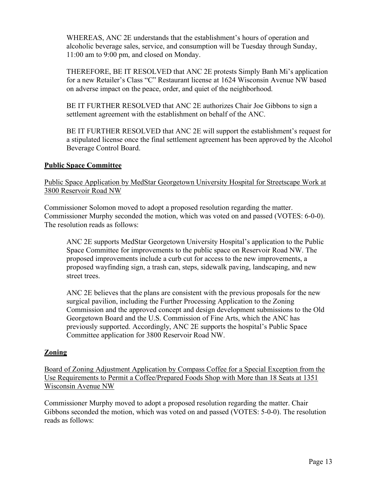WHEREAS, ANC 2E understands that the establishment's hours of operation and alcoholic beverage sales, service, and consumption will be Tuesday through Sunday, 11:00 am to 9:00 pm, and closed on Monday.

THEREFORE, BE IT RESOLVED that ANC 2E protests Simply Banh Mi's application for a new Retailer's Class "C" Restaurant license at 1624 Wisconsin Avenue NW based on adverse impact on the peace, order, and quiet of the neighborhood.

BE IT FURTHER RESOLVED that ANC 2E authorizes Chair Joe Gibbons to sign a settlement agreement with the establishment on behalf of the ANC.

BE IT FURTHER RESOLVED that ANC 2E will support the establishment's request for a stipulated license once the final settlement agreement has been approved by the Alcohol Beverage Control Board.

#### **Public Space Committee**

Public Space Application by MedStar Georgetown University Hospital for Streetscape Work at 3800 Reservoir Road NW

Commissioner Solomon moved to adopt a proposed resolution regarding the matter. Commissioner Murphy seconded the motion, which was voted on and passed (VOTES: 6-0-0). The resolution reads as follows:

ANC 2E supports MedStar Georgetown University Hospital's application to the Public Space Committee for improvements to the public space on Reservoir Road NW. The proposed improvements include a curb cut for access to the new improvements, a proposed wayfinding sign, a trash can, steps, sidewalk paving, landscaping, and new street trees.

ANC 2E believes that the plans are consistent with the previous proposals for the new surgical pavilion, including the Further Processing Application to the Zoning Commission and the approved concept and design development submissions to the Old Georgetown Board and the U.S. Commission of Fine Arts, which the ANC has previously supported. Accordingly, ANC 2E supports the hospital's Public Space Committee application for 3800 Reservoir Road NW.

## **Zoning**

Board of Zoning Adjustment Application by Compass Coffee for a Special Exception from the Use Requirements to Permit a Coffee/Prepared Foods Shop with More than 18 Seats at 1351 Wisconsin Avenue NW

Commissioner Murphy moved to adopt a proposed resolution regarding the matter. Chair Gibbons seconded the motion, which was voted on and passed (VOTES: 5-0-0). The resolution reads as follows: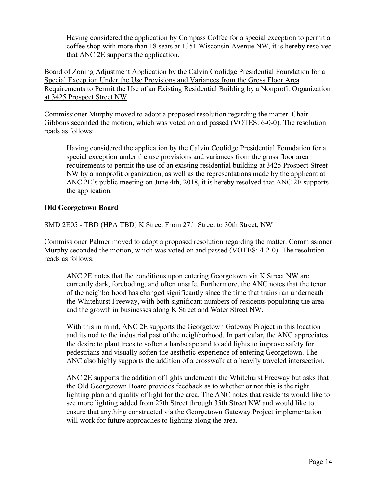Having considered the application by Compass Coffee for a special exception to permit a coffee shop with more than 18 seats at 1351 Wisconsin Avenue NW, it is hereby resolved that ANC 2E supports the application.

Board of Zoning Adjustment Application by the Calvin Coolidge Presidential Foundation for a Special Exception Under the Use Provisions and Variances from the Gross Floor Area Requirements to Permit the Use of an Existing Residential Building by a Nonprofit Organization at 3425 Prospect Street NW

Commissioner Murphy moved to adopt a proposed resolution regarding the matter. Chair Gibbons seconded the motion, which was voted on and passed (VOTES: 6-0-0). The resolution reads as follows:

Having considered the application by the Calvin Coolidge Presidential Foundation for a special exception under the use provisions and variances from the gross floor area requirements to permit the use of an existing residential building at 3425 Prospect Street NW by a nonprofit organization, as well as the representations made by the applicant at ANC 2E's public meeting on June 4th, 2018, it is hereby resolved that ANC 2E supports the application.

## **Old Georgetown Board**

## SMD 2E05 - TBD (HPA TBD) K Street From 27th Street to 30th Street, NW

Commissioner Palmer moved to adopt a proposed resolution regarding the matter. Commissioner Murphy seconded the motion, which was voted on and passed (VOTES: 4-2-0). The resolution reads as follows:

ANC 2E notes that the conditions upon entering Georgetown via K Street NW are currently dark, foreboding, and often unsafe. Furthermore, the ANC notes that the tenor of the neighborhood has changed significantly since the time that trains ran underneath the Whitehurst Freeway, with both significant numbers of residents populating the area and the growth in businesses along K Street and Water Street NW.

With this in mind, ANC 2E supports the Georgetown Gateway Project in this location and its nod to the industrial past of the neighborhood. In particular, the ANC appreciates the desire to plant trees to soften a hardscape and to add lights to improve safety for pedestrians and visually soften the aesthetic experience of entering Georgetown. The ANC also highly supports the addition of a crosswalk at a heavily traveled intersection.

ANC 2E supports the addition of lights underneath the Whitehurst Freeway but asks that the Old Georgetown Board provides feedback as to whether or not this is the right lighting plan and quality of light for the area. The ANC notes that residents would like to see more lighting added from 27th Street through 35th Street NW and would like to ensure that anything constructed via the Georgetown Gateway Project implementation will work for future approaches to lighting along the area.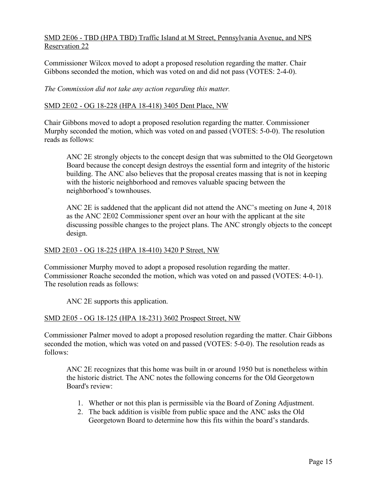## SMD 2E06 - TBD (HPA TBD) Traffic Island at M Street, Pennsylvania Avenue, and NPS Reservation 22

Commissioner Wilcox moved to adopt a proposed resolution regarding the matter. Chair Gibbons seconded the motion, which was voted on and did not pass (VOTES: 2-4-0).

*The Commission did not take any action regarding this matter.*

#### SMD 2E02 - OG 18-228 (HPA 18-418) 3405 Dent Place, NW

Chair Gibbons moved to adopt a proposed resolution regarding the matter. Commissioner Murphy seconded the motion, which was voted on and passed (VOTES: 5-0-0). The resolution reads as follows:

ANC 2E strongly objects to the concept design that was submitted to the Old Georgetown Board because the concept design destroys the essential form and integrity of the historic building. The ANC also believes that the proposal creates massing that is not in keeping with the historic neighborhood and removes valuable spacing between the neighborhood's townhouses.

ANC 2E is saddened that the applicant did not attend the ANC's meeting on June 4, 2018 as the ANC 2E02 Commissioner spent over an hour with the applicant at the site discussing possible changes to the project plans. The ANC strongly objects to the concept design.

#### SMD 2E03 - OG 18-225 (HPA 18-410) 3420 P Street, NW

Commissioner Murphy moved to adopt a proposed resolution regarding the matter. Commissioner Roache seconded the motion, which was voted on and passed (VOTES: 4-0-1). The resolution reads as follows:

ANC 2E supports this application.

## SMD 2E05 - OG 18-125 (HPA 18-231) 3602 Prospect Street, NW

Commissioner Palmer moved to adopt a proposed resolution regarding the matter. Chair Gibbons seconded the motion, which was voted on and passed (VOTES: 5-0-0). The resolution reads as follows:

ANC 2E recognizes that this home was built in or around 1950 but is nonetheless within the historic district. The ANC notes the following concerns for the Old Georgetown Board's review:

- 1. Whether or not this plan is permissible via the Board of Zoning Adjustment.
- 2. The back addition is visible from public space and the ANC asks the Old Georgetown Board to determine how this fits within the board's standards.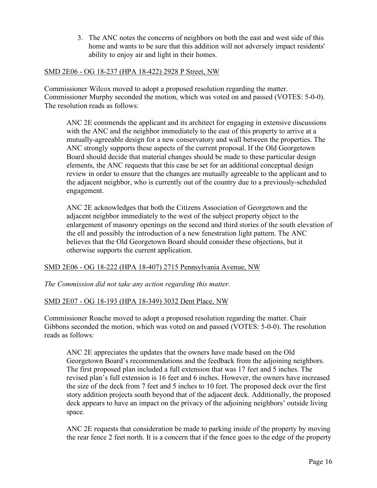3. The ANC notes the concerns of neighbors on both the east and west side of this home and wants to be sure that this addition will not adversely impact residents' ability to enjoy air and light in their homes.

## SMD 2E06 - OG 18-237 (HPA 18-422) 2928 P Street, NW

Commissioner Wilcox moved to adopt a proposed resolution regarding the matter. Commissioner Murphy seconded the motion, which was voted on and passed (VOTES: 5-0-0). The resolution reads as follows:

ANC 2E commends the applicant and its architect for engaging in extensive discussions with the ANC and the neighbor immediately to the east of this property to arrive at a mutually-agreeable design for a new conservatory and wall between the properties. The ANC strongly supports these aspects of the current proposal. If the Old Georgetown Board should decide that material changes should be made to these particular design elements, the ANC requests that this case be set for an additional conceptual design review in order to ensure that the changes are mutually agreeable to the applicant and to the adjacent neighbor, who is currently out of the country due to a previously-scheduled engagement.

ANC 2E acknowledges that both the Citizens Association of Georgetown and the adjacent neighbor immediately to the west of the subject property object to the enlargement of masonry openings on the second and third stories of the south elevation of the ell and possibly the introduction of a new fenestration light pattern. The ANC believes that the Old Georgetown Board should consider these objections, but it otherwise supports the current application.

# SMD 2E06 - OG 18-222 (HPA 18-407) 2715 Pennsylvania Avenue, NW

*The Commission did not take any action regarding this matter.*

# SMD 2E07 - OG 18-193 (HPA 18-349) 3032 Dent Place, NW

Commissioner Roache moved to adopt a proposed resolution regarding the matter. Chair Gibbons seconded the motion, which was voted on and passed (VOTES: 5-0-0). The resolution reads as follows:

ANC 2E appreciates the updates that the owners have made based on the Old Georgetown Board's recommendations and the feedback from the adjoining neighbors. The first proposed plan included a full extension that was 17 feet and 5 inches. The revised plan's full extension is 16 feet and 6 inches. However, the owners have increased the size of the deck from 7 feet and 5 inches to 10 feet. The proposed deck over the first story addition projects south beyond that of the adjacent deck. Additionally, the proposed deck appears to have an impact on the privacy of the adjoining neighbors' outside living space.

ANC 2E requests that consideration be made to parking inside of the property by moving the rear fence 2 feet north. It is a concern that if the fence goes to the edge of the property